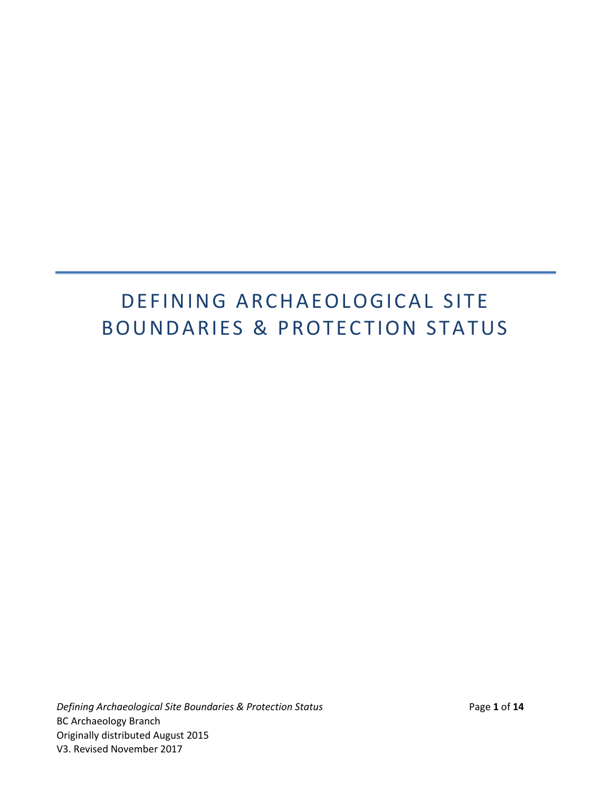# DEFINING ARCHAEOLOGICAL SITE BOUNDARIES & PROTECTION STATUS

*Defining Archaeological Site Boundaries & Protection Status* Page **1** of **14** BC Archaeology Branch Originally distributed August 2015 V3. Revised November 2017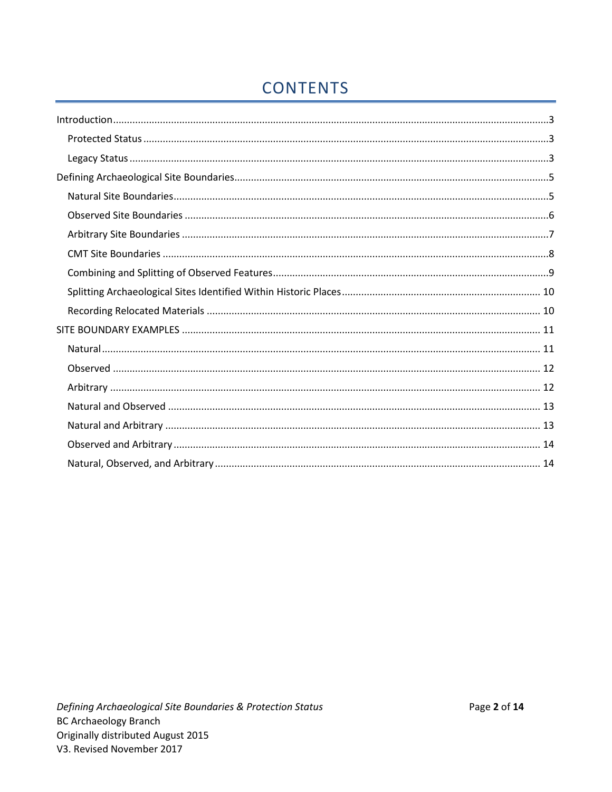# **CONTENTS**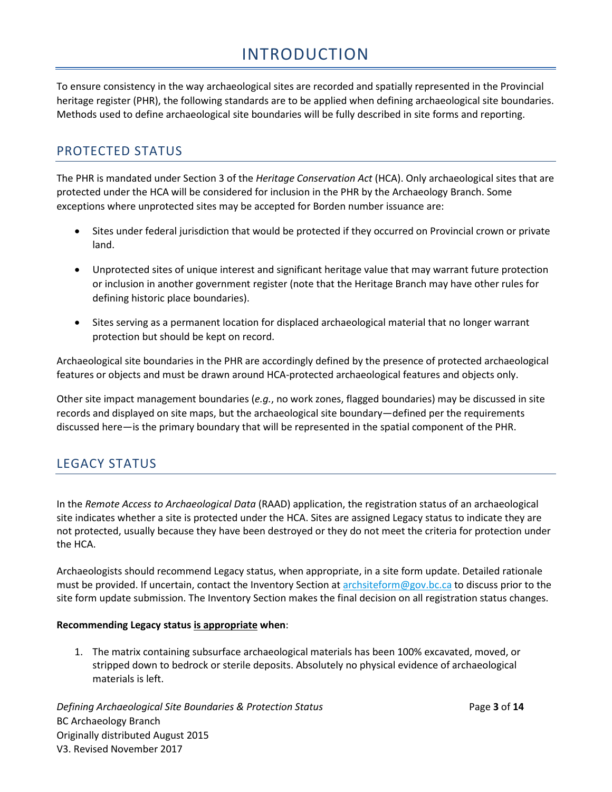# INTRODUCTION

<span id="page-2-0"></span>To ensure consistency in the way archaeological sites are recorded and spatially represented in the Provincial heritage register (PHR), the following standards are to be applied when defining archaeological site boundaries. Methods used to define archaeological site boundaries will be fully described in site forms and reporting.

## <span id="page-2-1"></span>PROTECTED STATUS

The PHR is mandated under Section 3 of the *Heritage Conservation Act* (HCA). Only archaeological sites that are protected under the HCA will be considered for inclusion in the PHR by the Archaeology Branch. Some exceptions where unprotected sites may be accepted for Borden number issuance are:

- Sites under federal jurisdiction that would be protected if they occurred on Provincial crown or private land.
- Unprotected sites of unique interest and significant heritage value that may warrant future protection or inclusion in another government register (note that the Heritage Branch may have other rules for defining historic place boundaries).
- Sites serving as a permanent location for displaced archaeological material that no longer warrant protection but should be kept on record.

Archaeological site boundaries in the PHR are accordingly defined by the presence of protected archaeological features or objects and must be drawn around HCA-protected archaeological features and objects only.

Other site impact management boundaries (*e.g.*, no work zones, flagged boundaries) may be discussed in site records and displayed on site maps, but the archaeological site boundary—defined per the requirements discussed here—is the primary boundary that will be represented in the spatial component of the PHR.

### <span id="page-2-2"></span>LEGACY STATUS

In the *Remote Access to Archaeological Data* (RAAD) application, the registration status of an archaeological site indicates whether a site is protected under the HCA. Sites are assigned Legacy status to indicate they are not protected, usually because they have been destroyed or they do not meet the criteria for protection under the HCA.

Archaeologists should recommend Legacy status, when appropriate, in a site form update. Detailed rationale must be provided. If uncertain, contact the Inventory Section at [archsiteform@gov.bc.ca](mailto:archsiteform@gov.bc.ca) to discuss prior to the site form update submission. The Inventory Section makes the final decision on all registration status changes.

#### **Recommending Legacy status is appropriate when**:

1. The matrix containing subsurface archaeological materials has been 100% excavated, moved, or stripped down to bedrock or sterile deposits. Absolutely no physical evidence of archaeological materials is left.

*Defining Archaeological Site Boundaries & Protection Status* Page **3** of **14** BC Archaeology Branch Originally distributed August 2015 V3. Revised November 2017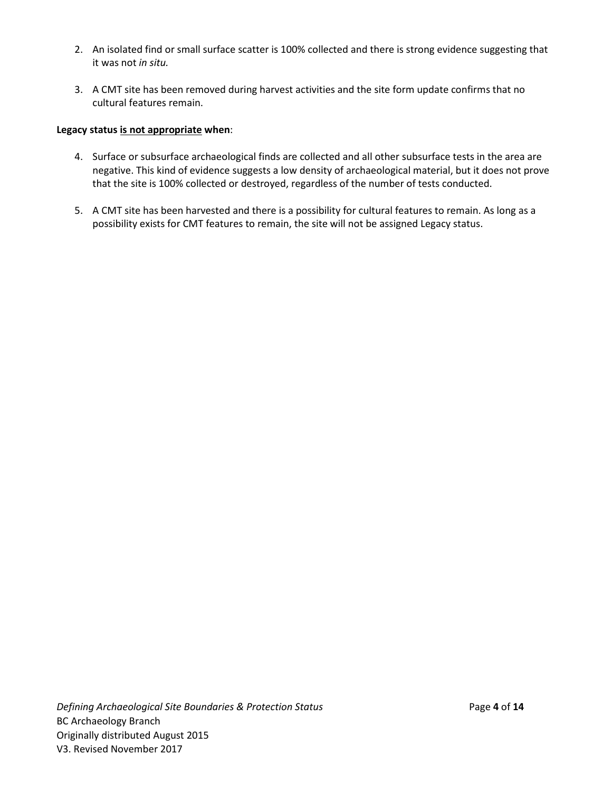- 2. An isolated find or small surface scatter is 100% collected and there is strong evidence suggesting that it was not *in situ.*
- 3. A CMT site has been removed during harvest activities and the site form update confirms that no cultural features remain.

#### **Legacy status is not appropriate when**:

- 4. Surface or subsurface archaeological finds are collected and all other subsurface tests in the area are negative. This kind of evidence suggests a low density of archaeological material, but it does not prove that the site is 100% collected or destroyed, regardless of the number of tests conducted.
- 5. A CMT site has been harvested and there is a possibility for cultural features to remain. As long as a possibility exists for CMT features to remain, the site will not be assigned Legacy status.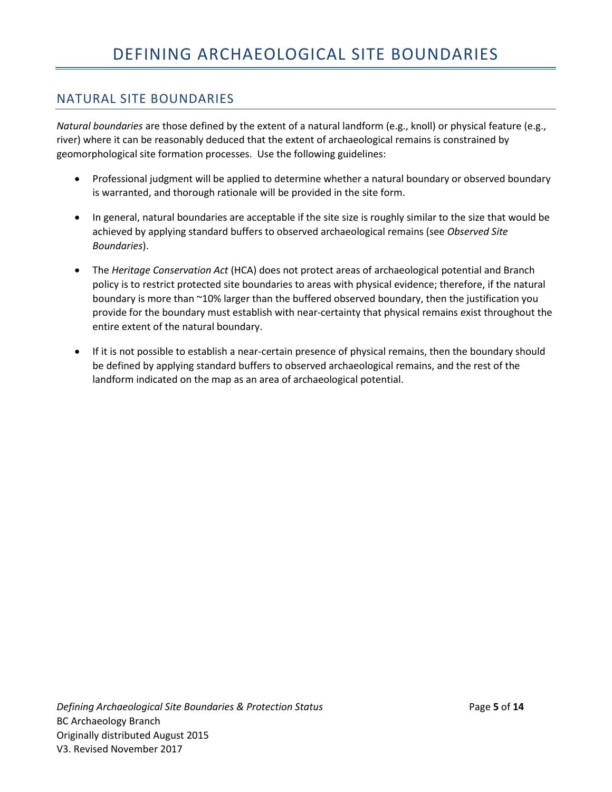#### <span id="page-4-1"></span><span id="page-4-0"></span>NATURAL SITE BOUNDARIES

*Natural boundaries* are those defined by the extent of a natural landform (e.g., knoll) or physical feature (e.g., river) where it can be reasonably deduced that the extent of archaeological remains is constrained by geomorphological site formation processes. Use the following guidelines:

- Professional judgment will be applied to determine whether a natural boundary or observed boundary is warranted, and thorough rationale will be provided in the site form.
- In general, natural boundaries are acceptable if the site size is roughly similar to the size that would be achieved by applying standard buffers to observed archaeological remains (see *Observed Site Boundaries*).
- The *Heritage Conservation Act* (HCA) does not protect areas of archaeological potential and Branch policy is to restrict protected site boundaries to areas with physical evidence; therefore, if the natural boundary is more than ~10% larger than the buffered observed boundary, then the justification you provide for the boundary must establish with near-certainty that physical remains exist throughout the entire extent of the natural boundary.
- If it is not possible to establish a near-certain presence of physical remains, then the boundary should be defined by applying standard buffers to observed archaeological remains, and the rest of the landform indicated on the map as an area of archaeological potential.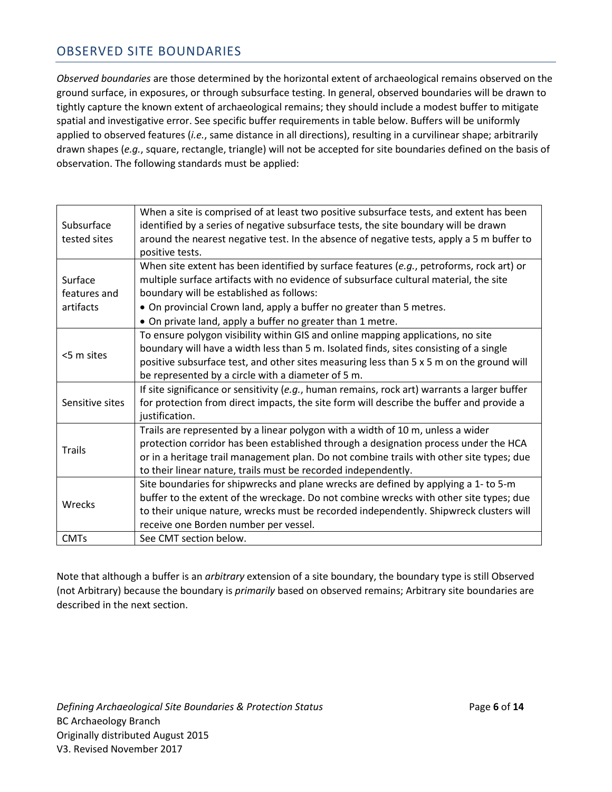#### <span id="page-5-0"></span>OBSERVED SITE BOUNDARIES

*Observed boundaries* are those determined by the horizontal extent of archaeological remains observed on the ground surface, in exposures, or through subsurface testing. In general, observed boundaries will be drawn to tightly capture the known extent of archaeological remains; they should include a modest buffer to mitigate spatial and investigative error. See specific buffer requirements in table below. Buffers will be uniformly applied to observed features (*i.e.*, same distance in all directions), resulting in a curvilinear shape; arbitrarily drawn shapes (*e.g.*, square, rectangle, triangle) will not be accepted for site boundaries defined on the basis of observation. The following standards must be applied:

| Subsurface<br>tested sites           | When a site is comprised of at least two positive subsurface tests, and extent has been<br>identified by a series of negative subsurface tests, the site boundary will be drawn<br>around the nearest negative test. In the absence of negative tests, apply a 5 m buffer to<br>positive tests.                                                                     |
|--------------------------------------|---------------------------------------------------------------------------------------------------------------------------------------------------------------------------------------------------------------------------------------------------------------------------------------------------------------------------------------------------------------------|
| Surface<br>features and<br>artifacts | When site extent has been identified by surface features (e.g., petroforms, rock art) or<br>multiple surface artifacts with no evidence of subsurface cultural material, the site<br>boundary will be established as follows:<br>• On provincial Crown land, apply a buffer no greater than 5 metres.<br>• On private land, apply a buffer no greater than 1 metre. |
| <5 m sites                           | To ensure polygon visibility within GIS and online mapping applications, no site<br>boundary will have a width less than 5 m. Isolated finds, sites consisting of a single<br>positive subsurface test, and other sites measuring less than 5 x 5 m on the ground will<br>be represented by a circle with a diameter of 5 m.                                        |
| Sensitive sites                      | If site significance or sensitivity (e.g., human remains, rock art) warrants a larger buffer<br>for protection from direct impacts, the site form will describe the buffer and provide a<br>justification.                                                                                                                                                          |
| <b>Trails</b>                        | Trails are represented by a linear polygon with a width of 10 m, unless a wider<br>protection corridor has been established through a designation process under the HCA<br>or in a heritage trail management plan. Do not combine trails with other site types; due<br>to their linear nature, trails must be recorded independently.                               |
| Wrecks                               | Site boundaries for shipwrecks and plane wrecks are defined by applying a 1- to 5-m<br>buffer to the extent of the wreckage. Do not combine wrecks with other site types; due<br>to their unique nature, wrecks must be recorded independently. Shipwreck clusters will<br>receive one Borden number per vessel.                                                    |
| <b>CMTs</b>                          | See CMT section below.                                                                                                                                                                                                                                                                                                                                              |

Note that although a buffer is an *arbitrary* extension of a site boundary, the boundary type is still Observed (not Arbitrary) because the boundary is *primarily* based on observed remains; Arbitrary site boundaries are described in the next section.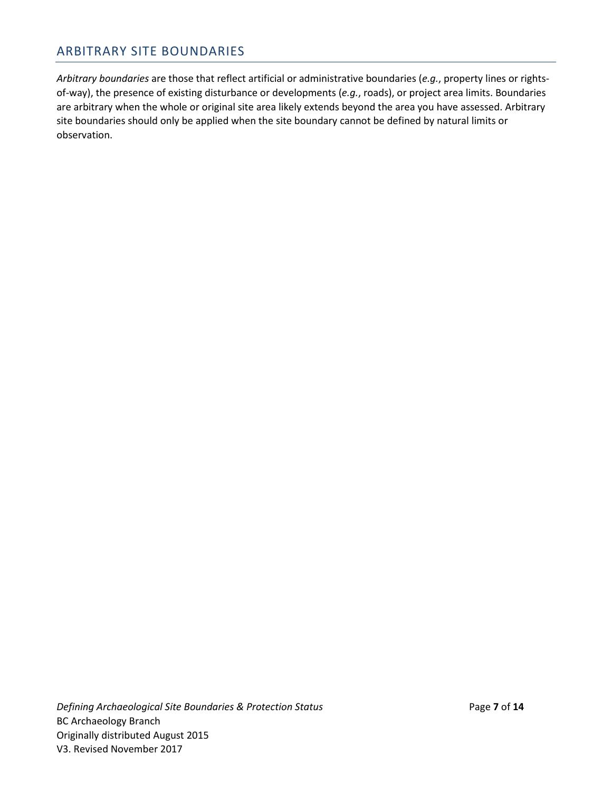#### <span id="page-6-0"></span>ARBITRARY SITE BOUNDARIES

*Arbitrary boundaries* are those that reflect artificial or administrative boundaries (*e.g.*, property lines or rightsof-way), the presence of existing disturbance or developments (*e.g.*, roads), or project area limits. Boundaries are arbitrary when the whole or original site area likely extends beyond the area you have assessed. Arbitrary site boundaries should only be applied when the site boundary cannot be defined by natural limits or observation.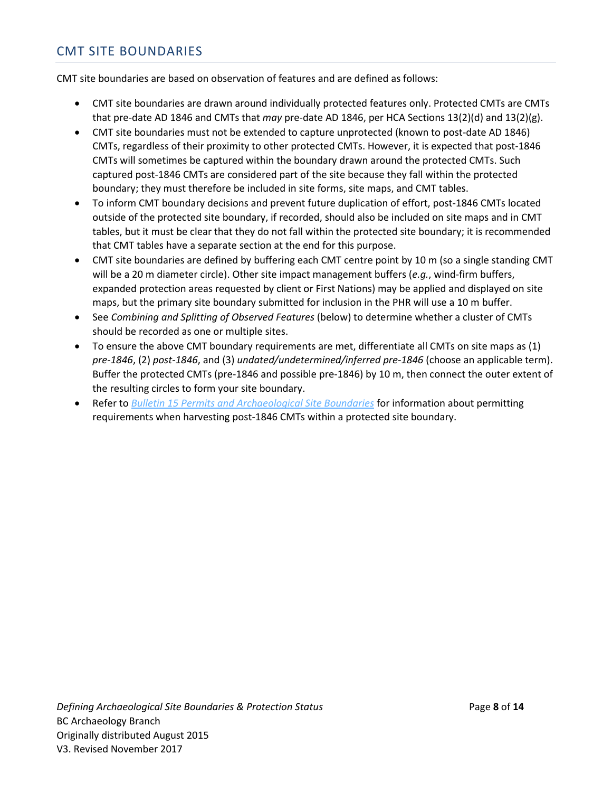#### <span id="page-7-0"></span>CMT SITE BOUNDARIES

CMT site boundaries are based on observation of features and are defined as follows:

- CMT site boundaries are drawn around individually protected features only. Protected CMTs are CMTs that pre-date AD 1846 and CMTs that *may* pre-date AD 1846, per HCA Sections 13(2)(d) and 13(2)(g).
- CMT site boundaries must not be extended to capture unprotected (known to post-date AD 1846) CMTs, regardless of their proximity to other protected CMTs. However, it is expected that post-1846 CMTs will sometimes be captured within the boundary drawn around the protected CMTs. Such captured post-1846 CMTs are considered part of the site because they fall within the protected boundary; they must therefore be included in site forms, site maps, and CMT tables.
- To inform CMT boundary decisions and prevent future duplication of effort, post-1846 CMTs located outside of the protected site boundary, if recorded, should also be included on site maps and in CMT tables, but it must be clear that they do not fall within the protected site boundary; it is recommended that CMT tables have a separate section at the end for this purpose.
- CMT site boundaries are defined by buffering each CMT centre point by 10 m (so a single standing CMT will be a 20 m diameter circle). Other site impact management buffers (*e.g.*, wind-firm buffers, expanded protection areas requested by client or First Nations) may be applied and displayed on site maps, but the primary site boundary submitted for inclusion in the PHR will use a 10 m buffer.
- See *Combining and Splitting of Observed Features* (below) to determine whether a cluster of CMTs should be recorded as one or multiple sites.
- To ensure the above CMT boundary requirements are met, differentiate all CMTs on site maps as (1) *pre-1846*, (2) *post-1846*, and (3) *undated/undetermined/inferred pre-1846* (choose an applicable term). Buffer the protected CMTs (pre-1846 and possible pre-1846) by 10 m, then connect the outer extent of the resulting circles to form your site boundary.
- Refer to *[Bulletin 15 Permits and Archaeological Site Boundaries](https://www.for.gov.bc.ca/archaeology/bulletins/bulletin15_permits_and_archaeological_site_boundaries.htm)* for information about permitting requirements when harvesting post-1846 CMTs within a protected site boundary.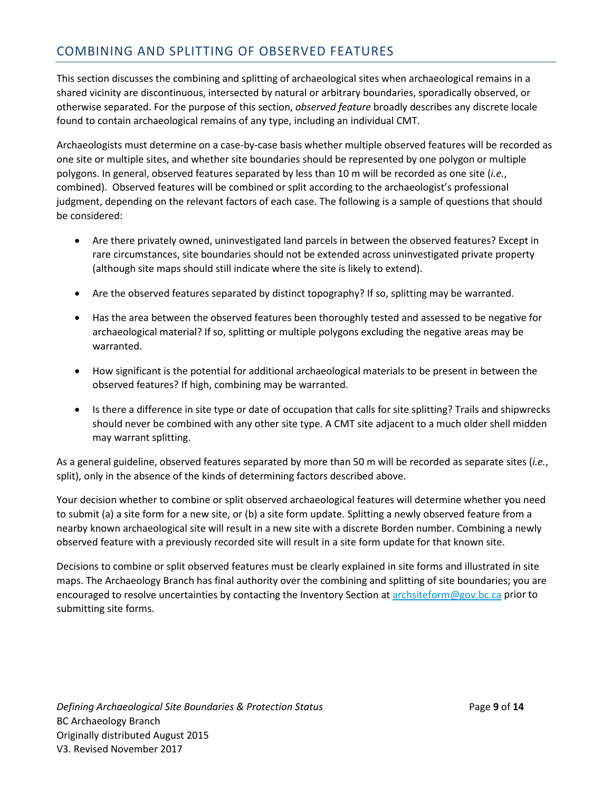### <span id="page-8-0"></span>COMBINING AND SPLITTING OF OBSERVED FEATURES

This section discusses the combining and splitting of archaeological sites when archaeological remains in a shared vicinity are discontinuous, intersected by natural or arbitrary boundaries, sporadically observed, or otherwise separated. For the purpose of this section, *observed feature* broadly describes any discrete locale found to contain archaeological remains of any type, including an individual CMT.

Archaeologists must determine on a case-by-case basis whether multiple observed features will be recorded as one site or multiple sites, and whether site boundaries should be represented by one polygon or multiple polygons. In general, observed features separated by less than 10 m will be recorded as one site (*i.e.*, combined). Observed features will be combined or split according to the archaeologist's professional judgment, depending on the relevant factors of each case. The following is a sample of questions that should be considered:

- Are there privately owned, uninvestigated land parcels in between the observed features? Except in rare circumstances, site boundaries should not be extended across uninvestigated private property (although site maps should still indicate where the site is likely to extend).
- Are the observed features separated by distinct topography? If so, splitting may be warranted.
- Has the area between the observed features been thoroughly tested and assessed to be negative for archaeological material? If so, splitting or multiple polygons excluding the negative areas may be warranted.
- How significant is the potential for additional archaeological materials to be present in between the observed features? If high, combining may be warranted.
- Is there a difference in site type or date of occupation that calls for site splitting? Trails and shipwrecks should never be combined with any other site type. A CMT site adjacent to a much older shell midden may warrant splitting.

As a general guideline, observed features separated by more than 50 m will be recorded as separate sites (*i.e.*, split), only in the absence of the kinds of determining factors described above.

Your decision whether to combine or split observed archaeological features will determine whether you need to submit (a) a site form for a new site, or (b) a site form update. Splitting a newly observed feature from a nearby known archaeological site will result in a new site with a discrete Borden number. Combining a newly observed feature with a previously recorded site will result in a site form update for that known site.

Decisions to combine or split observed features must be clearly explained in site forms and illustrated in site maps. The Archaeology Branch has final authority over the combining and splitting of site boundaries; you are encouraged to resolve uncertainties by contacting the Inventory Section at [archsiteform@gov.bc.ca](mailto:archsiteform@gov.bc.ca) prior to submitting site forms.

*Defining Archaeological Site Boundaries & Protection Status* Page **9** of **14** BC Archaeology Branch Originally distributed August 2015 V3. Revised November 2017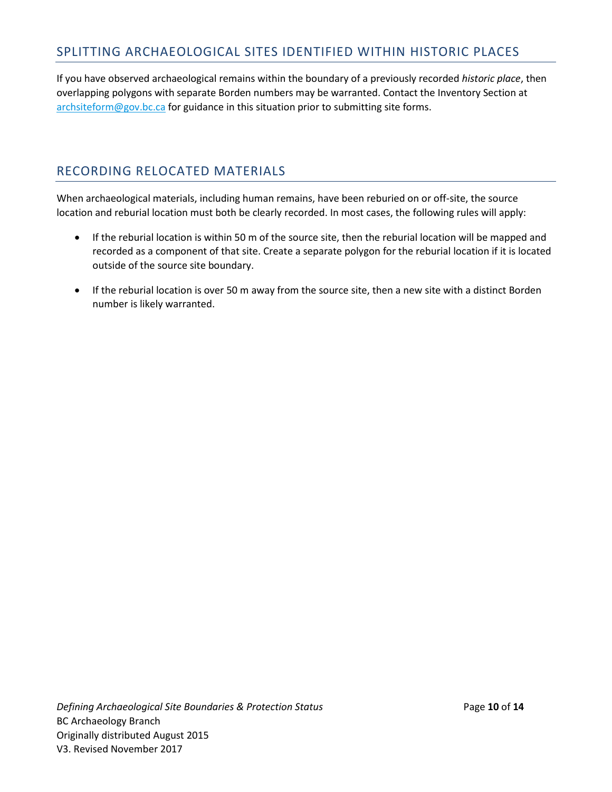#### <span id="page-9-0"></span>SPLITTING ARCHAEOLOGICAL SITES IDENTIFIED WITHIN HISTORIC PLACES

If you have observed archaeological remains within the boundary of a previously recorded *historic place*, then overlapping polygons with separate Borden numbers may be warranted. Contact the Inventory Section at [archsiteform@gov.bc.ca](mailto:archsiteform@gov.bc.ca) for guidance in this situation prior to submitting site forms.

#### <span id="page-9-1"></span>RECORDING RELOCATED MATERIALS

When archaeological materials, including human remains, have been reburied on or off-site, the source location and reburial location must both be clearly recorded. In most cases, the following rules will apply:

- If the reburial location is within 50 m of the source site, then the reburial location will be mapped and recorded as a component of that site. Create a separate polygon for the reburial location if it is located outside of the source site boundary.
- If the reburial location is over 50 m away from the source site, then a new site with a distinct Borden number is likely warranted.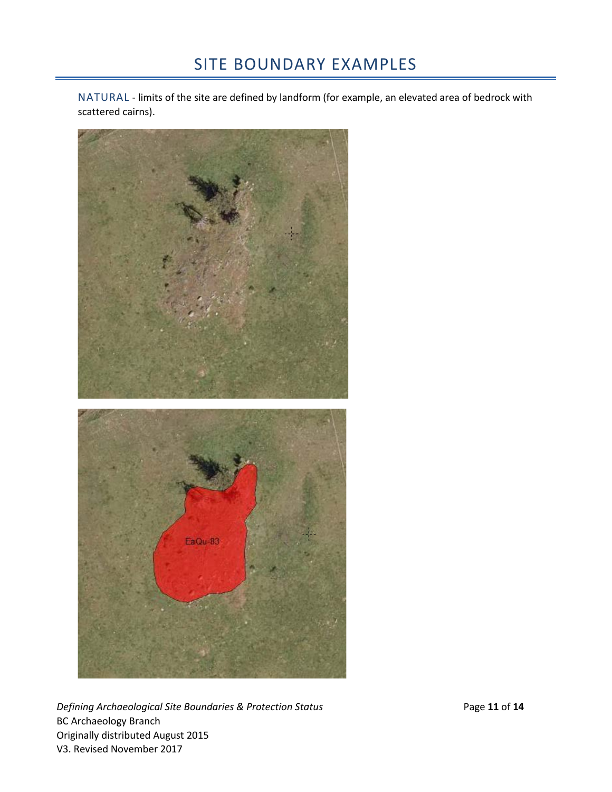<span id="page-10-1"></span><span id="page-10-0"></span>NATURAL - limits of the site are defined by landform (for example, an elevated area of bedrock with scattered cairns).



*Defining Archaeological Site Boundaries & Protection Status* Page **11** of **14** BC Archaeology Branch Originally distributed August 2015 V3. Revised November 2017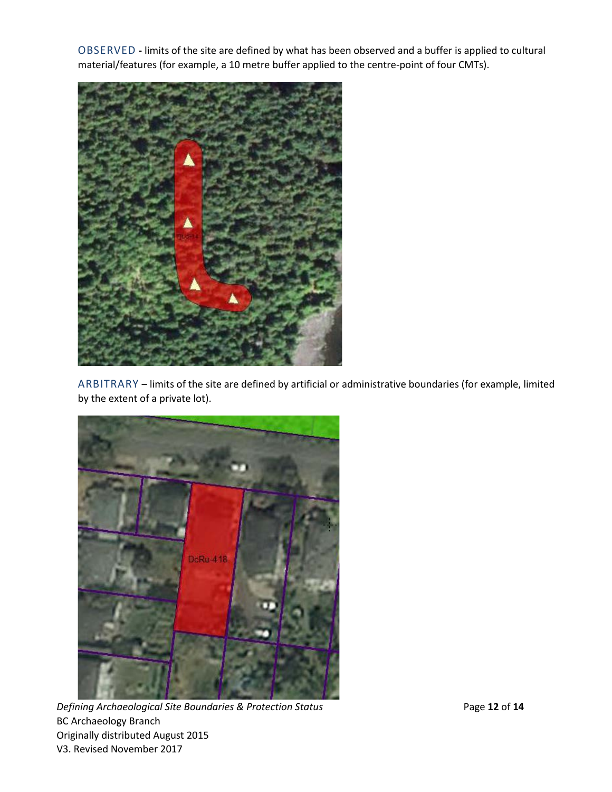<span id="page-11-0"></span>OBSERVED **-** limits of the site are defined by what has been observed and a buffer is applied to cultural material/features (for example, a 10 metre buffer applied to the centre-point of four CMTs).



<span id="page-11-1"></span>ARBITRARY – limits of the site are defined by artificial or administrative boundaries (for example, limited by the extent of a private lot).



*Defining Archaeological Site Boundaries & Protection Status* Page **12** of 14 BC Archaeology Branch Originally distributed August 2015 V3. Revised November 2017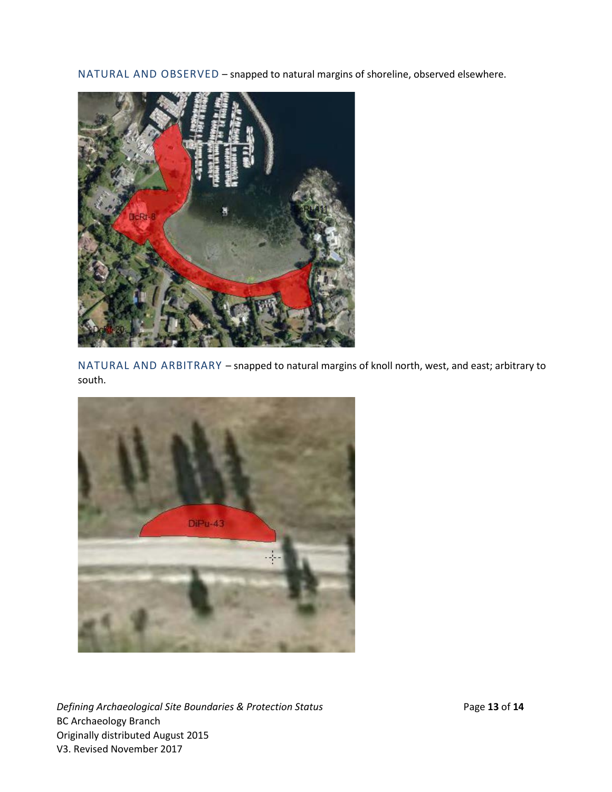NATURAL AND OBSERVED – snapped to natural margins of shoreline, observed elsewhere.

<span id="page-12-0"></span>

<span id="page-12-1"></span>NATURAL AND ARBITRARY – snapped to natural margins of knoll north, west, and east; arbitrary to south.



*Defining Archaeological Site Boundaries & Protection Status* **Page 13** of 14 BC Archaeology Branch Originally distributed August 2015 V3. Revised November 2017